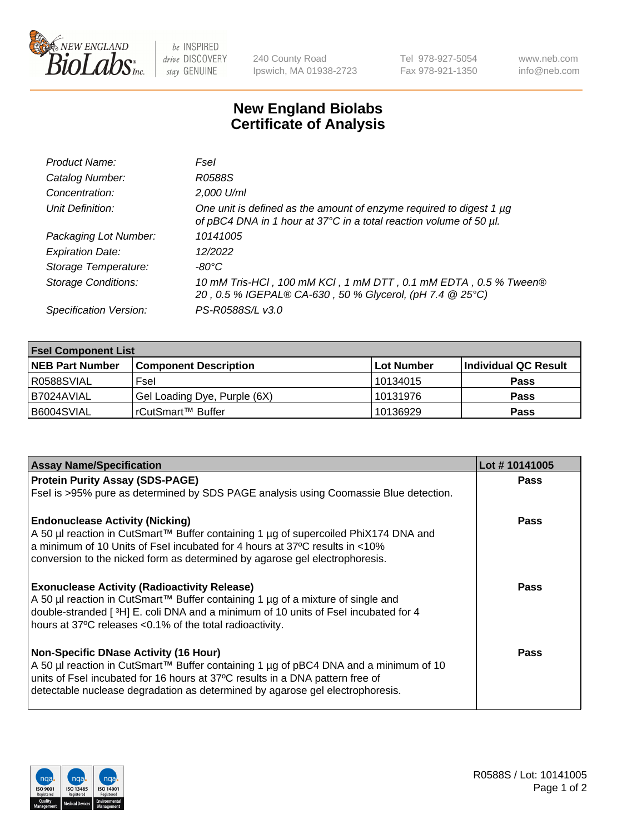

be INSPIRED drive DISCOVERY stay GENUINE

240 County Road Ipswich, MA 01938-2723 Tel 978-927-5054 Fax 978-921-1350 www.neb.com info@neb.com

## **New England Biolabs Certificate of Analysis**

| Product Name:              | Fsel                                                                                                                                      |
|----------------------------|-------------------------------------------------------------------------------------------------------------------------------------------|
| Catalog Number:            | R0588S                                                                                                                                    |
| Concentration:             | 2,000 U/ml                                                                                                                                |
| Unit Definition:           | One unit is defined as the amount of enzyme required to digest 1 µg<br>of pBC4 DNA in 1 hour at 37°C in a total reaction volume of 50 µl. |
| Packaging Lot Number:      | 10141005                                                                                                                                  |
| <b>Expiration Date:</b>    | 12/2022                                                                                                                                   |
| Storage Temperature:       | -80°C                                                                                                                                     |
| <b>Storage Conditions:</b> | 10 mM Tris-HCl, 100 mM KCl, 1 mM DTT, 0.1 mM EDTA, 0.5 % Tween®<br>20, 0.5 % IGEPAL® CA-630, 50 % Glycerol, (pH 7.4 @ 25°C)               |
| Specification Version:     | PS-R0588S/L v3.0                                                                                                                          |

| <b>Fsel Component List</b> |                              |             |                      |  |  |
|----------------------------|------------------------------|-------------|----------------------|--|--|
| <b>NEB Part Number</b>     | <b>Component Description</b> | ∣Lot Number | Individual QC Result |  |  |
| R0588SVIAL                 | Fsel                         | l 10134015  | <b>Pass</b>          |  |  |
| I B7024AVIAL               | Gel Loading Dye, Purple (6X) | 10131976    | <b>Pass</b>          |  |  |
| B6004SVIAL                 | rCutSmart™ Buffer            | 10136929    | <b>Pass</b>          |  |  |

| <b>Assay Name/Specification</b>                                                      | Lot #10141005 |
|--------------------------------------------------------------------------------------|---------------|
| <b>Protein Purity Assay (SDS-PAGE)</b>                                               | <b>Pass</b>   |
| Fsel is >95% pure as determined by SDS PAGE analysis using Coomassie Blue detection. |               |
| <b>Endonuclease Activity (Nicking)</b>                                               | <b>Pass</b>   |
| A 50 µl reaction in CutSmart™ Buffer containing 1 µg of supercoiled PhiX174 DNA and  |               |
| a minimum of 10 Units of Fsel incubated for 4 hours at 37°C results in <10%          |               |
| conversion to the nicked form as determined by agarose gel electrophoresis.          |               |
| <b>Exonuclease Activity (Radioactivity Release)</b>                                  | <b>Pass</b>   |
| A 50 µl reaction in CutSmart™ Buffer containing 1 µg of a mixture of single and      |               |
| double-stranded [3H] E. coli DNA and a minimum of 10 units of Fsel incubated for 4   |               |
| hours at 37°C releases <0.1% of the total radioactivity.                             |               |
| <b>Non-Specific DNase Activity (16 Hour)</b>                                         | Pass          |
| A 50 µl reaction in CutSmart™ Buffer containing 1 µg of pBC4 DNA and a minimum of 10 |               |
| units of Fsel incubated for 16 hours at 37°C results in a DNA pattern free of        |               |
| detectable nuclease degradation as determined by agarose gel electrophoresis.        |               |